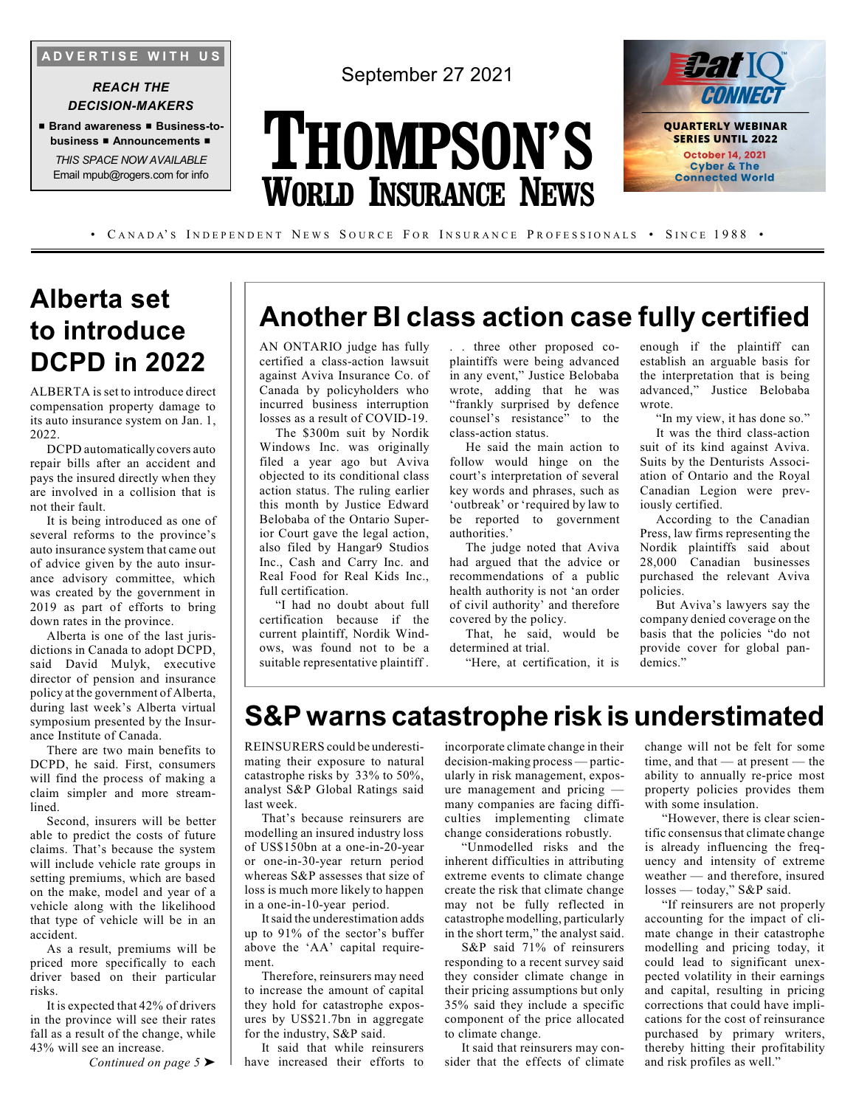**A D V E R T I S E W I T H U S**

#### *REACH THE DECISION-MAKERS*

■ **Brand awareness** ■ **Business-tobusiness** ■ **Announcements** ■

*THIS SPACE NOW AVAILABLE* Email mpub@rogers.com for info September 27 2021

# **THOMPSON'S WORLD INSURANCE NEWS**



• CANADA'S INDEPENDENT NEWS SOURCE FOR INSURANCE PROFESSIONALS • SINCE 1988 •

# **Alberta set to introduce DCPD in 2022**

ALBERTA is set to introduce direct compensation property damage to its auto insurance system on Jan. 1, 2022.

DCPD automatically covers auto repair bills after an accident and pays the insured directly when they are involved in a collision that is not their fault.

It is being introduced as one of several reforms to the province's auto insurance system that came out of advice given by the auto insurance advisory committee, which was created by the government in 2019 as part of efforts to bring down rates in the province.

Alberta is one of the last jurisdictions in Canada to adopt DCPD, said David Mulyk, executive director of pension and insurance policy at the government of Alberta, during last week's Alberta virtual symposium presented by the Insurance Institute of Canada.

There are two main benefits to DCPD, he said. First, consumers will find the process of making a claim simpler and more streamlined.

Second, insurers will be better able to predict the costs of future claims. That's because the system will include vehicle rate groups in setting premiums, which are based on the make, model and year of a vehicle along with the likelihood that type of vehicle will be in an accident.

As a result, premiums will be priced more specifically to each driver based on their particular risks.

It is expected that 42% of drivers in the province will see their rates fall as a result of the change, while 43% will see an increase.

*Continued on page 5* ➤

# **Another BI class action case fully certified**

AN ONTARIO judge has fully certified a class-action lawsuit against Aviva Insurance Co. of Canada by policyholders who incurred business interruption losses as a result of COVID-19.

The \$300m suit by Nordik Windows Inc. was originally filed a year ago but Aviva objected to its conditional class action status. The ruling earlier this month by Justice Edward Belobaba of the Ontario Superior Court gave the legal action, also filed by Hangar9 Studios Inc., Cash and Carry Inc. and Real Food for Real Kids Inc., full certification.

"I had no doubt about full certification because if the current plaintiff, Nordik Windows, was found not to be a suitable representative plaintiff . . . three other proposed coplaintiffs were being advanced in any event," Justice Belobaba wrote, adding that he was "frankly surprised by defence counsel's resistance" to the class-action status.

He said the main action to follow would hinge on the court's interpretation of several key words and phrases, such as 'outbreak' or 'required by law to be reported to government authorities.'

The judge noted that Aviva had argued that the advice or recommendations of a public health authority is not 'an order of civil authority' and therefore covered by the policy.

That, he said, would be determined at trial.

"Here, at certification, it is

enough if the plaintiff can establish an arguable basis for the interpretation that is being advanced," Justice Belobaba wrote.

"In my view, it has done so."

It was the third class-action suit of its kind against Aviva. Suits by the Denturists Association of Ontario and the Royal Canadian Legion were previously certified.

According to the Canadian Press, law firms representing the Nordik plaintiffs said about 28,000 Canadian businesses purchased the relevant Aviva policies.

But Aviva's lawyers say the company denied coverage on the basis that the policies "do not provide cover for global pandemics."

### **S&P warns catastrophe risk is understimated**

REINSURERS could be underestimating their exposure to natural catastrophe risks by 33% to 50%, analyst S&P Global Ratings said last week.

That's because reinsurers are modelling an insured industry loss of US\$150bn at a one-in-20-year or one-in-30-year return period whereas S&P assesses that size of loss is much more likely to happen in a one-in-10-year period.

It said the underestimation adds up to 91% of the sector's buffer above the 'AA' capital requirement.

Therefore, reinsurers may need to increase the amount of capital they hold for catastrophe exposures by US\$21.7bn in aggregate for the industry, S&P said.

It said that while reinsurers have increased their efforts to incorporate climate change in their decision-making process — particularly in risk management, exposure management and pricing many companies are facing difficulties implementing climate change considerations robustly.

"Unmodelled risks and the inherent difficulties in attributing extreme events to climate change create the risk that climate change may not be fully reflected in catastrophe modelling, particularly in the short term," the analyst said.

S&P said 71% of reinsurers responding to a recent survey said they consider climate change in their pricing assumptions but only 35% said they include a specific component of the price allocated to climate change.

It said that reinsurers may consider that the effects of climate change will not be felt for some time, and that — at present — the ability to annually re-price most property policies provides them with some insulation.

"However, there is clear scientific consensus that climate change is already influencing the frequency and intensity of extreme weather — and therefore, insured losses — today," S&P said.

"If reinsurers are not properly accounting for the impact of climate change in their catastrophe modelling and pricing today, it could lead to significant unexpected volatility in their earnings and capital, resulting in pricing corrections that could have implications for the cost of reinsurance purchased by primary writers, thereby hitting their profitability and risk profiles as well."